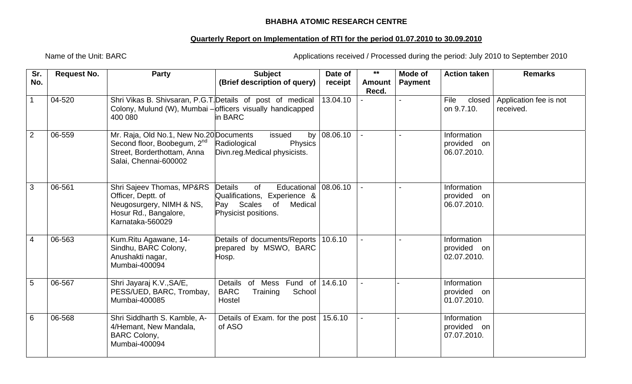## **BHABHA ATOMIC RESEARCH CENTRE**

## **Quarterly Report on Implementation of RTI for the period 01.07.2010 to 30.09.2010**

Name of the Unit: BARC **Applications received / Processed during the period: July 2010 to September 2010** 

| Sr.             | <b>Request No.</b> | <b>Party</b>                                                                                                                               | <b>Subject</b>                                                                                                             | Date of              | $***$                  | Mode of        | <b>Action taken</b>                       | <b>Remarks</b>                      |
|-----------------|--------------------|--------------------------------------------------------------------------------------------------------------------------------------------|----------------------------------------------------------------------------------------------------------------------------|----------------------|------------------------|----------------|-------------------------------------------|-------------------------------------|
| No.             |                    |                                                                                                                                            | (Brief description of query)                                                                                               | receipt              | <b>Amount</b><br>Recd. | <b>Payment</b> |                                           |                                     |
| 1               | 04-520             | Shri Vikas B. Shivsaran, P.G.T. Details of post of medical<br>Colony, Mulund (W), Mumbai - officers visually handicapped<br>400 080        | in BARC                                                                                                                    | 13.04.10             |                        |                | File<br>closed<br>on 9.7.10.              | Application fee is not<br>received. |
| $\overline{2}$  | 06-559             | Mr. Raja, Old No.1, New No.20 Documents<br>Second floor, Boobegum, 2 <sup>nd</sup><br>Street, Borderthottam, Anna<br>Salai, Chennai-600002 | issued<br>by<br>Radiological<br>Physics<br>Divn.reg.Medical physicists.                                                    | 08.06.10             |                        |                | Information<br>provided on<br>06.07.2010. |                                     |
| 3               | 06-561             | Shri Sajeev Thomas, MP&RS<br>Officer, Deptt. of<br>Neugosurgery, NIMH & NS,<br>Hosur Rd., Bangalore,<br>Karnataka-560029                   | <b>Details</b><br>of<br>Educational<br>Qualifications, Experience &<br>Pay Scales<br>Medical<br>of<br>Physicist positions. | 08.06.10             |                        |                | Information<br>provided on<br>06.07.2010. |                                     |
| $\overline{4}$  | 06-563             | Kum.Ritu Agawane, 14-<br>Sindhu, BARC Colony,<br>Anushakti nagar,<br>Mumbai-400094                                                         | Details of documents/Reports<br>prepared by MSWO, BARC<br>Hosp.                                                            | 10.6.10              |                        |                | Information<br>provided on<br>02.07.2010. |                                     |
| $5\phantom{.0}$ | 06-567             | Shri Jayaraj K.V., SA/E,<br>PESS/UED, BARC, Trombay,<br>Mumbai-400085                                                                      | Details<br>of Mess Fund<br>of<br><b>BARC</b><br>School<br>Training<br>Hostel                                               | $\overline{14.6.10}$ |                        |                | Information<br>provided on<br>01.07.2010. |                                     |
| 6               | 06-568             | Shri Siddharth S. Kamble, A-<br>4/Hemant, New Mandala,<br><b>BARC Colony,</b><br>Mumbai-400094                                             | Details of Exam. for the post<br>of ASO                                                                                    | 15.6.10              |                        |                | Information<br>provided on<br>07.07.2010. |                                     |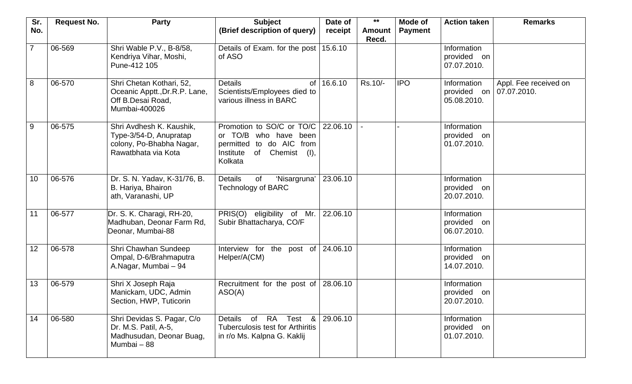| Sr.             | <b>Request No.</b> | <b>Party</b>                                                                                          | <b>Subject</b>                                                                                                               | Date of  | $***$                  | Mode of        | <b>Action taken</b>                          | <b>Remarks</b>                       |
|-----------------|--------------------|-------------------------------------------------------------------------------------------------------|------------------------------------------------------------------------------------------------------------------------------|----------|------------------------|----------------|----------------------------------------------|--------------------------------------|
| No.             |                    |                                                                                                       | (Brief description of query)                                                                                                 | receipt  | <b>Amount</b><br>Recd. | <b>Payment</b> |                                              |                                      |
| $\overline{7}$  | 06-569             | Shri Wable P.V., B-8/58,<br>Kendriya Vihar, Moshi,<br>Pune-412 105                                    | Details of Exam. for the post<br>of ASO                                                                                      | 15.6.10  |                        |                | Information<br>provided on<br>07.07.2010.    |                                      |
| 8               | 06-570             | Shri Chetan Kothari, 52,<br>Oceanic Apptt., Dr.R.P. Lane,<br>Off B.Desai Road,<br>Mumbai-400026       | <b>Details</b><br>of<br>Scientists/Employees died to<br>various illness in BARC                                              | 16.6.10  | Rs.10/-                | <b>IPO</b>     | Information<br>provided on<br>05.08.2010.    | Appl. Fee received on<br>07.07.2010. |
| 9               | 06-575             | Shri Avdhesh K. Kaushik,<br>Type-3/54-D, Anupratap<br>colony, Po-Bhabha Nagar,<br>Rawatbhata via Kota | Promotion to SO/C or TO/C<br>or TO/B who have been<br>permitted to do AIC from<br>Institute<br>of Chemist<br>(1),<br>Kolkata | 22.06.10 |                        |                | Information<br>provided on<br>01.07.2010.    |                                      |
| 10 <sub>1</sub> | 06-576             | Dr. S. N. Yadav, K-31/76, B.<br>B. Hariya, Bhairon<br>ath, Varanashi, UP                              | <b>Details</b><br>'Nisargruna'<br>of<br><b>Technology of BARC</b>                                                            | 23.06.10 |                        |                | Information<br>provided on<br>20.07.2010.    |                                      |
| 11              | 06-577             | Dr. S. K. Charagi, RH-20,<br>Madhuban, Deonar Farm Rd,<br>Deonar, Mumbai-88                           | PRIS(O) eligibility of Mr.<br>Subir Bhattacharya, CO/F                                                                       | 22.06.10 |                        |                | Information<br>provided on<br>06.07.2010.    |                                      |
| 12              | 06-578             | Shri Chawhan Sundeep<br>Ompal, D-6/Brahmaputra<br>A.Nagar, Mumbai - 94                                | Interview for the post of 24.06.10<br>Helper/A(CM)                                                                           |          |                        |                | Information<br>provided on<br>14.07.2010.    |                                      |
| 13              | 06-579             | Shri X Joseph Raja<br>Manickam, UDC, Admin<br>Section, HWP, Tuticorin                                 | Recruitment for the post of<br>ASO(A)                                                                                        | 28.06.10 |                        |                | Information<br>provided<br>on<br>20.07.2010. |                                      |
| 14              | 06-580             | Shri Devidas S. Pagar, C/o<br>Dr. M.S. Patil, A-5,<br>Madhusudan, Deonar Buag,<br>Mumbai - 88         | of RA Test &<br>Details<br><b>Tuberculosis test for Arthiritis</b><br>in r/o Ms. Kalpna G. Kaklij                            | 29.06.10 |                        |                | Information<br>provided on<br>01.07.2010.    |                                      |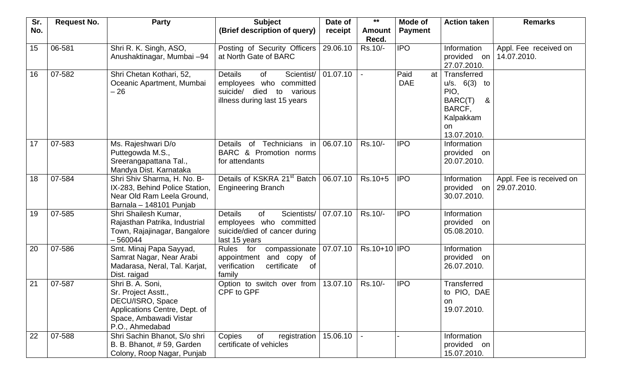| Sr. | <b>Request No.</b> | <b>Party</b>                                                                                                                              | <b>Subject</b>                                                                                                                     | Date of  | $***$                  | Mode of                  | <b>Action taken</b>                                                                             | <b>Remarks</b>                          |
|-----|--------------------|-------------------------------------------------------------------------------------------------------------------------------------------|------------------------------------------------------------------------------------------------------------------------------------|----------|------------------------|--------------------------|-------------------------------------------------------------------------------------------------|-----------------------------------------|
| No. |                    |                                                                                                                                           | (Brief description of query)                                                                                                       | receipt  | <b>Amount</b><br>Recd. | <b>Payment</b>           |                                                                                                 |                                         |
| 15  | 06-581             | Shri R. K. Singh, ASO,<br>Anushaktinagar, Mumbai -94                                                                                      | Posting of Security Officers<br>at North Gate of BARC                                                                              | 29.06.10 | Rs.10/-                | <b>IPO</b>               | Information<br>provided on<br>27.07.2010.                                                       | Appl. Fee received on<br>14.07.2010.    |
| 16  | 07-582             | Shri Chetan Kothari, 52,<br>Oceanic Apartment, Mumbai<br>$-26$                                                                            | <b>Details</b><br>of<br>Scientist/<br>employees who committed<br>suicide/<br>died<br>various<br>to<br>illness during last 15 years | 01.07.10 |                        | Paid<br>at<br><b>DAE</b> | Transferred<br>u/s. 6(3) to<br>PIO,<br>BARC(T)<br>&<br>BARCF,<br>Kalpakkam<br>on<br>13.07.2010. |                                         |
| 17  | 07-583             | Ms. Rajeshwari D/o<br>Puttegowda M.S.,<br>Sreerangapattana Tal.,<br>Mandya Dist. Karnataka                                                | Technicians<br>in<br>Details of<br>BARC & Promotion norms<br>for attendants                                                        | 06.07.10 | Rs.10/-                | <b>IPO</b>               | Information<br>provided on<br>20.07.2010.                                                       |                                         |
| 18  | 07-584             | Shri Shiv Sharma, H. No. B-<br>IX-283, Behind Police Station,<br>Near Old Ram Leela Ground,<br>Barnala - 148101 Punjab                    | Details of KSKRA 21 <sup>st</sup> Batch<br><b>Engineering Branch</b>                                                               | 06.07.10 | Rs.10+5                | <b>IPO</b>               | Information<br>provided on<br>30.07.2010.                                                       | Appl. Fee is received on<br>29.07.2010. |
| 19  | 07-585             | Shri Shailesh Kumar,<br>Rajasthan Patrika, Industrial<br>Town, Rajajinagar, Bangalore<br>$-560044$                                        | <b>Details</b><br><b>of</b><br>Scientists/<br>employees who committed<br>suicide/died of cancer during<br>last 15 years            | 07.07.10 | Rs.10/-                | <b>IPO</b>               | Information<br>provided on<br>05.08.2010.                                                       |                                         |
| 20  | 07-586             | Smt. Minaj Papa Sayyad,<br>Samrat Nagar, Near Arabi<br>Madarasa, Neral, Tal. Karjat,<br>Dist. raigad                                      | Rules for<br>compassionate<br>and copy of<br>appointment<br>verification<br>certificate<br>0f<br>family                            | 07.07.10 | Rs.10+10   IPO         |                          | Information<br>provided on<br>26.07.2010.                                                       |                                         |
| 21  | 07-587             | Shri B. A. Soni,<br>Sr. Project Asstt.,<br>DECU/ISRO, Space<br>Applications Centre, Dept. of<br>Space, Ambawadi Vistar<br>P.O., Ahmedabad | Option to switch over from<br>CPF to GPF                                                                                           | 13.07.10 | Rs.10/-                | <b>IPO</b>               | <b>Transferred</b><br>to PIO, DAE<br>on<br>19.07.2010.                                          |                                         |
| 22  | 07-588             | Shri Sachin Bhanot, S/o shri<br>B. B. Bhanot, #59, Garden<br>Colony, Roop Nagar, Punjab                                                   | registration<br>Copies<br>of<br>certificate of vehicles                                                                            | 15.06.10 |                        |                          | Information<br>provided on<br>15.07.2010.                                                       |                                         |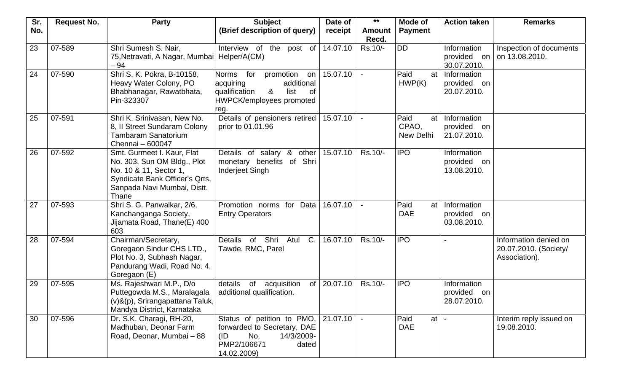| Sr. | <b>Request No.</b> | <b>Party</b>                                                                                                                                                  | <b>Subject</b>                                                                                                                         | Date of  | $***$                  | <b>Mode of</b>                     | <b>Action taken</b>                          | <b>Remarks</b>                                                  |
|-----|--------------------|---------------------------------------------------------------------------------------------------------------------------------------------------------------|----------------------------------------------------------------------------------------------------------------------------------------|----------|------------------------|------------------------------------|----------------------------------------------|-----------------------------------------------------------------|
| No. |                    |                                                                                                                                                               | (Brief description of query)                                                                                                           | receipt  | <b>Amount</b><br>Recd. | <b>Payment</b>                     |                                              |                                                                 |
| 23  | 07-589             | Shri Sumesh S. Nair,<br>75, Netravati, A Nagar, Mumbai   Helper/A(CM)<br>$-94$                                                                                | Interview of the post of                                                                                                               | 14.07.10 | Rs.10/-                | <b>DD</b>                          | Information<br>provided on<br>30.07.2010.    | Inspection of documents<br>on 13.08.2010.                       |
| 24  | 07-590             | Shri S. K. Pokra, B-10158,<br>Heavy Water Colony, PO<br>Bhabhanagar, Rawatbhata,<br>Pin-323307                                                                | promotion<br>Norms for<br>on<br>acquiring<br>additional<br>&<br>qualification<br>list<br>0f<br><b>HWPCK/employees promoted</b><br>reg. | 15.07.10 |                        | Paid<br>at<br>HWP(K)               | Information<br>provided on<br>20.07.2010.    |                                                                 |
| 25  | 07-591             | Shri K. Srinivasan, New No.<br>8, Il Street Sundaram Colony<br><b>Tambaram Sanatorium</b><br>Chennai - 600047                                                 | Details of pensioners retired<br>prior to 01.01.96                                                                                     | 15.07.10 |                        | Paid<br>at<br>CPAO,<br>New Delhi   | Information<br>provided on<br>21.07.2010.    |                                                                 |
| 26  | 07-592             | Smt. Gurmeet I. Kaur, Flat<br>No. 303, Sun OM Bldg., Plot<br>No. 10 & 11, Sector 1,<br>Syndicate Bank Officer's Qrts,<br>Sanpada Navi Mumbai, Distt.<br>Thane | Details of salary &<br>other<br>monetary benefits of Shri<br>Inderjeet Singh                                                           | 15.07.10 | Rs.10/-                | <b>IPO</b>                         | Information<br>provided on<br>13.08.2010.    |                                                                 |
| 27  | 07-593             | Shri S. G. Panwalkar, 2/6,<br>Kanchanganga Society,<br>Jijamata Road, Thane(E) 400<br>603                                                                     | Promotion norms for<br>Data<br><b>Entry Operators</b>                                                                                  | 16.07.10 |                        | Paid<br>at<br><b>DAE</b>           | Information<br>provided<br>on<br>03.08.2010. |                                                                 |
| 28  | 07-594             | Chairman/Secretary,<br>Goregaon Sindur CHS LTD.,<br>Plot No. 3, Subhash Nagar,<br>Pandurang Wadi, Road No. 4,<br>Goregaon (E)                                 | Shri Atul<br>C.<br>$\overline{\mathsf{of}}$<br>Details<br>Tawde, RMC, Parel                                                            | 16.07.10 | Rs.10/-                | <b>IPO</b>                         |                                              | Information denied on<br>20.07.2010. (Society/<br>Association). |
| 29  | 07-595             | Ms. Rajeshwari M.P., D/o<br>Puttegowda M.S., Maralagala<br>(v)&(p), Srirangapattana Taluk,<br>Mandya District, Karnataka                                      | acquisition<br>details<br>of<br>of<br>additional qualification.                                                                        | 20.07.10 | Rs.10/-                | <b>IPO</b>                         | Information<br>provided<br>on<br>28.07.2010. |                                                                 |
| 30  | 07-596             | Dr. S.K. Charagi, RH-20,<br>Madhuban, Deonar Farm<br>Road, Deonar, Mumbai - 88                                                                                | Status of petition to PMO,<br>forwarded to Secretary, DAE<br>(ID)<br>No.<br>14/3/2009-<br>PMP2/106671<br>dated<br>14.02.2009)          | 21.07.10 |                        | Paid<br>at $\vert$ -<br><b>DAE</b> |                                              | Interim reply issued on<br>19.08.2010.                          |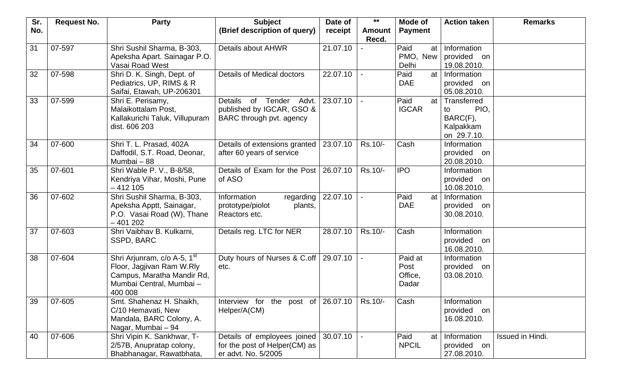| Sr. | <b>Request No.</b> | <b>Party</b>                                                                                                                             | <b>Subject</b>                                                                                   | Date of  | $***$                  | Mode of                             | <b>Action taken</b>                                               | <b>Remarks</b>   |
|-----|--------------------|------------------------------------------------------------------------------------------------------------------------------------------|--------------------------------------------------------------------------------------------------|----------|------------------------|-------------------------------------|-------------------------------------------------------------------|------------------|
| No. |                    |                                                                                                                                          | (Brief description of query)                                                                     | receipt  | <b>Amount</b><br>Recd. | <b>Payment</b>                      |                                                                   |                  |
| 31  | 07-597             | Shri Sushil Sharma, B-303,<br>Apeksha Apart. Sainagar P.O.<br>Vasai Road West                                                            | Details about AHWR                                                                               | 21.07.10 |                        | Paid<br>at<br>PMO,<br>New<br>Delhi  | Information<br>provided on<br>19.08.2010.                         |                  |
| 32  | 07-598             | Shri D. K. Singh, Dept. of<br>Pediatrics, UP, RIMS & R<br>Saifai, Etawah, UP-206301                                                      | Details of Medical doctors                                                                       | 22.07.10 |                        | Paid<br>at<br><b>DAE</b>            | Information<br>provided on<br>05.08.2010.                         |                  |
| 33  | 07-599             | Shri E. Perisamy,<br>Malaikottalam Post,<br>Kallakurichi Taluk, Villupuram<br>dist. 606 203                                              | Tender<br><b>Details</b><br>of<br>Advt.<br>published by IGCAR, GSO &<br>BARC through pvt. agency | 23.07.10 |                        | Paid<br>at<br><b>IGCAR</b>          | Transferred<br>PIO,<br>to<br>BARC(F),<br>Kalpakkam<br>on 29.7.10. |                  |
| 34  | 07-600             | Shri T. L. Prasad, 402A<br>Daffodil, S.T. Road, Deonar,<br>Mumbai - 88                                                                   | Details of extensions granted<br>after 60 years of service                                       | 23.07.10 | Rs.10/-                | Cash                                | Information<br>provided<br>on<br>20.08.2010.                      |                  |
| 35  | 07-601             | Shri Wable P. V., B-8/58,<br>Kendriya Vihar, Moshi, Pune<br>$-412105$                                                                    | Details of Exam for the Post<br>of ASO                                                           | 26.07.10 | Rs.10/-                | <b>IPO</b>                          | Information<br>provided on<br>10.08.2010.                         |                  |
| 36  | 07-602             | Shri Sushil Sharma, B-303,<br>Apeksha Apptt, Sainagar,<br>P.O. Vasai Road (W), Thane<br>$-401202$                                        | Information<br>regarding<br>prototype/piolot<br>plants,<br>Reactors etc.                         | 22.07.10 |                        | Paid<br>at<br><b>DAE</b>            | Information<br>provided on<br>30.08.2010.                         |                  |
| 37  | 07-603             | Shri Vaibhav B. Kulkarni,<br>SSPD, BARC                                                                                                  | Details reg. LTC for NER                                                                         | 28.07.10 | Rs.10/-                | Cash                                | Information<br>provided<br>on<br>16.08.2010.                      |                  |
| 38  | 07-604             | Shri Arjunram, c/o A-5, 1 <sup>st</sup><br>Floor, Jagjivan Ram W.Rly<br>Campus, Maratha Mandir Rd,<br>Mumbai Central, Mumbai-<br>400 008 | Duty hours of Nurses & C.off<br>etc.                                                             | 29.07.10 |                        | Paid at<br>Post<br>Office,<br>Dadar | Information<br>provided<br>on<br>03.08.2010.                      |                  |
| 39  | 07-605             | Smt. Shahenaz H. Shaikh,<br>C/10 Hemavati, New<br>Mandala, BARC Colony, A.<br>Nagar, Mumbai - 94                                         | Interview for the post of 26.07.10<br>Helper/A(CM)                                               |          | Rs.10/-                | Cash                                | Information<br>provided on<br>16.08.2010.                         |                  |
| 40  | 07-606             | Shri Vipin K. Sankhwar, T-<br>2/57B, Anupratap colony,<br>Bhabhanagar, Rawatbhata,                                                       | Details of employees joined<br>for the post of Helper(CM) as<br>er advt. No. 5/2005              | 30.07.10 |                        | Paid<br>at<br><b>NPCIL</b>          | Information<br>provided on<br>27.08.2010.                         | Issued in Hindi. |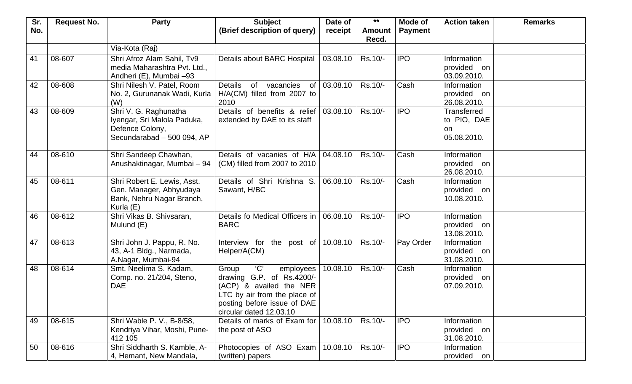| Sr. | <b>Request No.</b> | <b>Party</b>                                                                                          | <b>Subject</b>                                                                                                                                                            | Date of  | $***$                  | Mode of        | <b>Action taken</b>                                    | <b>Remarks</b> |
|-----|--------------------|-------------------------------------------------------------------------------------------------------|---------------------------------------------------------------------------------------------------------------------------------------------------------------------------|----------|------------------------|----------------|--------------------------------------------------------|----------------|
| No. |                    |                                                                                                       | (Brief description of query)                                                                                                                                              | receipt  | <b>Amount</b><br>Recd. | <b>Payment</b> |                                                        |                |
|     |                    | Via-Kota (Raj)                                                                                        |                                                                                                                                                                           |          |                        |                |                                                        |                |
| 41  | 08-607             | Shri Afroz Alam Sahil, Tv9<br>media Maharashtra Pvt. Ltd.,<br>Andheri (E), Mumbai -93                 | Details about BARC Hospital                                                                                                                                               | 03.08.10 | Rs.10/-                | <b>IPO</b>     | Information<br>provided on<br>03.09.2010.              |                |
| 42  | 08-608             | Shri Nilesh V. Patel, Room<br>No. 2, Gurunanak Wadi, Kurla<br>(W)                                     | <b>Details</b><br>of<br>vacancies<br>of<br>H/A(CM) filled from 2007 to<br>2010                                                                                            | 03.08.10 | Rs.10/-                | Cash           | Information<br>provided on<br>26.08.2010.              |                |
| 43  | 08-609             | Shri V. G. Raghunatha<br>Iyengar, Sri Malola Paduka,<br>Defence Colony,<br>Secundarabad - 500 094, AP | Details of benefits & relief<br>extended by DAE to its staff                                                                                                              | 03.08.10 | Rs.10/-                | <b>IPO</b>     | <b>Transferred</b><br>to PIO, DAE<br>on<br>05.08.2010. |                |
| 44  | 08-610             | Shri Sandeep Chawhan,<br>Anushaktinagar, Mumbai - 94                                                  | Details of vacanies of H/A<br>(CM) filled from 2007 to 2010                                                                                                               | 04.08.10 | Rs.10/-                | Cash           | Information<br>provided on<br>26.08.2010.              |                |
| 45  | 08-611             | Shri Robert E. Lewis, Asst.<br>Gen. Manager, Abhyudaya<br>Bank, Nehru Nagar Branch,<br>Kurla (E)      | Details of Shri Krishna S.<br>Sawant, H/BC                                                                                                                                | 06.08.10 | Rs.10/-                | Cash           | Information<br>provided on<br>10.08.2010.              |                |
| 46  | 08-612             | Shri Vikas B. Shivsaran,<br>Mulund (E)                                                                | Details fo Medical Officers in<br><b>BARC</b>                                                                                                                             | 06.08.10 | Rs.10/-                | <b>IPO</b>     | Information<br>provided on<br>13.08.2010.              |                |
| 47  | 08-613             | Shri John J. Pappu, R. No.<br>43, A-1 Bldg., Narmada,<br>A.Nagar, Mumbai-94                           | Interview for the post of<br>Helper/A(CM)                                                                                                                                 | 10.08.10 | Rs.10/-                | Pay Order      | Information<br>provided on<br>31.08.2010.              |                |
| 48  | 08-614             | Smt. Neelima S. Kadam,<br>Comp. no. 21/204, Steno,<br><b>DAE</b>                                      | C<br>Group<br>employees<br>drawing G.P. of Rs.4200/-<br>(ACP) & availed the NER<br>LTC by air from the place of<br>posting before issue of DAE<br>circular dated 12.03.10 | 10.08.10 | Rs.10/-                | Cash           | Information<br>provided on<br>07.09.2010.              |                |
| 49  | 08-615             | Shri Wable P. V., B-8/58,<br>Kendriya Vihar, Moshi, Pune-<br>412 105                                  | Details of marks of Exam for<br>the post of ASO                                                                                                                           | 10.08.10 | Rs.10/-                | <b>IPO</b>     | Information<br>provided on<br>31.08.2010.              |                |
| 50  | 08-616             | Shri Siddharth S. Kamble, A-<br>4, Hemant, New Mandala,                                               | Photocopies of ASO Exam<br>(written) papers                                                                                                                               | 10.08.10 | Rs.10/-                | <b>IPO</b>     | Information<br>provided on                             |                |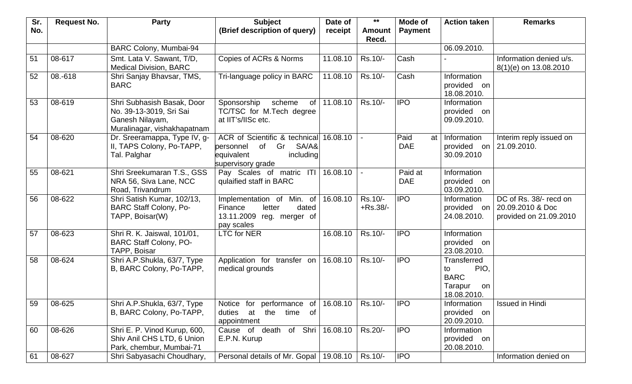| Sr. | <b>Request No.</b> | <b>Party</b>                                                                                            | <b>Subject</b>                                                                                                  | Date of  | $***$                  | Mode of                  | <b>Action taken</b>                                                      | <b>Remarks</b>                                                       |
|-----|--------------------|---------------------------------------------------------------------------------------------------------|-----------------------------------------------------------------------------------------------------------------|----------|------------------------|--------------------------|--------------------------------------------------------------------------|----------------------------------------------------------------------|
| No. |                    |                                                                                                         | (Brief description of query)                                                                                    | receipt  | <b>Amount</b><br>Recd. | <b>Payment</b>           |                                                                          |                                                                      |
|     |                    | BARC Colony, Mumbai-94                                                                                  |                                                                                                                 |          |                        |                          | 06.09.2010.                                                              |                                                                      |
| 51  | 08-617             | Smt. Lata V. Sawant, T/D,<br><b>Medical Division, BARC</b>                                              | Copies of ACRs & Norms                                                                                          | 11.08.10 | Rs.10/-                | Cash                     |                                                                          | Information denied u/s.<br>8(1)(e) on 13.08.2010                     |
| 52  | 08.-618            | Shri Sanjay Bhavsar, TMS,<br><b>BARC</b>                                                                | Tri-language policy in BARC                                                                                     | 11.08.10 | Rs.10/-                | Cash                     | Information<br>provided on<br>18.08.2010.                                |                                                                      |
| 53  | 08-619             | Shri Subhasish Basak, Door<br>No. 39-13-3019, Sri Sai<br>Ganesh Nilayam,<br>Muralinagar, vishakhapatnam | of<br>Sponsorship<br>scheme<br>TC/TSC for M.Tech degree<br>at IIT's/IISc etc.                                   | 11.08.10 | Rs.10/-                | <b>IPO</b>               | Information<br>provided on<br>09.09.2010.                                |                                                                      |
| 54  | 08-620             | Dr. Sreeramappa, Type IV, g-<br>II, TAPS Colony, Po-TAPP,<br>Tal. Palghar                               | ACR of Scientific & technical<br>Gr<br>SA/A&<br>of<br>personnel<br>including<br>equivalent<br>supervisory grade | 16.08.10 |                        | Paid<br>at<br><b>DAE</b> | Information<br>provided on<br>30.09.2010                                 | Interim reply issued on<br>21.09.2010.                               |
| 55  | 08-621             | Shri Sreekumaran T.S., GSS<br>NRA 56, Siva Lane, NCC<br>Road, Trivandrum                                | Pay Scales of matric ITI<br>qulaified staff in BARC                                                             | 16.08.10 |                        | Paid at<br><b>DAE</b>    | Information<br>provided on<br>03.09.2010.                                |                                                                      |
| 56  | 08-622             | Shri Satish Kumar, 102/13,<br><b>BARC Staff Colony, Po-</b><br>TAPP, Boisar(W)                          | Implementation of Min. of<br>dated<br>Finance<br>letter<br>13.11.2009 reg. merger of<br>pay scales              | 16.08.10 | Rs.10/-<br>$+$ Rs.38/- | <b>IPO</b>               | Information<br>provided on<br>24.08.2010.                                | DC of Rs. 38/- recd on<br>20.09.2010 & Doc<br>provided on 21.09.2010 |
| 57  | 08-623             | Shri R. K. Jaiswal, 101/01,<br><b>BARC Staff Colony, PO-</b><br>TAPP, Boisar                            | <b>LTC for NER</b>                                                                                              | 16.08.10 | Rs.10/-                | <b>IPO</b>               | Information<br>provided on<br>23.08.2010.                                |                                                                      |
| 58  | 08-624             | Shri A.P.Shukla, 63/7, Type<br>B, BARC Colony, Po-TAPP,                                                 | Application for transfer on<br>medical grounds                                                                  | 16.08.10 | Rs.10/-                | <b>IPO</b>               | Transferred<br>PIO,<br>to<br><b>BARC</b><br>Tarapur<br>on<br>18.08.2010. |                                                                      |
| 59  | 08-625             | Shri A.P.Shukla, 63/7, Type<br>B, BARC Colony, Po-TAPP,                                                 | Notice for performance<br>of<br>at<br>the<br>time<br>duties<br>of<br>appointment                                | 16.08.10 | Rs.10/-                | <b>IPO</b>               | Information<br>provided on<br>20.09.2010.                                | <b>Issued in Hindi</b>                                               |
| 60  | 08-626             | Shri E. P. Vinod Kurup, 600,<br>Shiv Anil CHS LTD, 6 Union<br>Park, chembur, Mumbai-71                  | of Shri<br>Cause of death<br>E.P.N. Kurup                                                                       | 16.08.10 | Rs.20/-                | <b>IPO</b>               | Information<br>provided on<br>20.08.2010.                                |                                                                      |
| 61  | 08-627             | Shri Sabyasachi Choudhary,                                                                              | Personal details of Mr. Gopal                                                                                   | 19.08.10 | Rs.10/-                | <b>IPO</b>               |                                                                          | Information denied on                                                |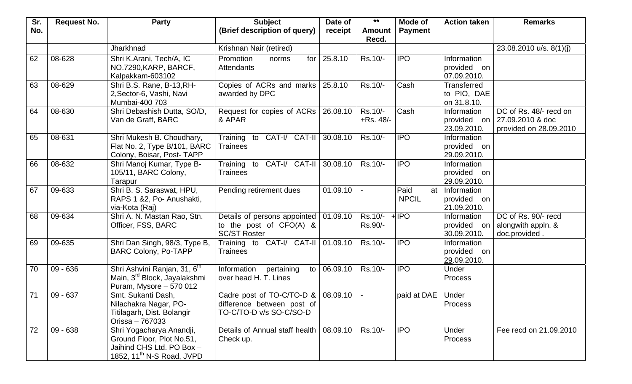| Sr. | <b>Request No.</b> | <b>Party</b>                                                                                                                | <b>Subject</b>                                                                                      | Date of  | $***$                   | Mode of                    | <b>Action taken</b>                          | <b>Remarks</b>                                                                            |
|-----|--------------------|-----------------------------------------------------------------------------------------------------------------------------|-----------------------------------------------------------------------------------------------------|----------|-------------------------|----------------------------|----------------------------------------------|-------------------------------------------------------------------------------------------|
| No. |                    |                                                                                                                             | (Brief description of query)                                                                        | receipt  | <b>Amount</b><br>Recd.  | <b>Payment</b>             |                                              |                                                                                           |
|     |                    | Jharkhnad                                                                                                                   | Krishnan Nair (retired)                                                                             |          |                         |                            |                                              | 23.08.2010 u/s. 8(1)(j)                                                                   |
| 62  | 08-628             | Shri K.Arani, Tech/A, IC<br>NO.7290, KARP, BARCF,<br>Kalpakkam-603102                                                       | Promotion<br>for<br>norms<br>Attendants                                                             | 25.8.10  | Rs.10/-                 | <b>IPO</b>                 | Information<br>provided on<br>07.09.2010.    |                                                                                           |
| 63  | 08-629             | Shri B.S. Rane, B-13, RH-<br>2, Sector-6, Vashi, Navi<br>Mumbai-400 703                                                     | Copies of ACRs and marks<br>awarded by DPC                                                          | 25.8.10  | Rs.10/-                 | Cash                       | Transferred<br>to PIO, DAE<br>on 31.8.10.    |                                                                                           |
| 64  | 08-630             | Shri Debashish Dutta, SO/D,<br>Van de Graff, BARC                                                                           | Request for copies of ACRs<br>& APAR                                                                | 26.08.10 | Rs.10/-<br>$+$ Rs. 48/- | Cash                       | Information<br>23.09.2010.                   | DC of Rs. 48/- recd on<br>provided on $\sqrt{27.09.2010}$ & doc<br>provided on 28.09.2010 |
| 65  | 08-631             | Shri Mukesh B. Choudhary,<br>Flat No. 2, Type B/101, BARC<br>Colony, Boisar, Post-TAPP                                      | Training to CAT-I/ CAT-II<br><b>Trainees</b>                                                        | 30.08.10 | Rs.10/-                 | <b>IPO</b>                 | Information<br>provided on<br>29.09.2010.    |                                                                                           |
| 66  | 08-632             | Shri Manoj Kumar, Type B-<br>105/11, BARC Colony,<br>Tarapur                                                                | Training to CAT-I/ CAT-II<br><b>Trainees</b>                                                        | 30.08.10 | Rs.10/-                 | <b>IPO</b>                 | Information<br>provided on<br>29.09.2010.    |                                                                                           |
| 67  | 09-633             | Shri B. S. Saraswat, HPU,<br>RAPS 1 & 2, Po- Anushakti,<br>via-Kota (Raj)                                                   | Pending retirement dues                                                                             | 01.09.10 |                         | Paid<br>at<br><b>NPCIL</b> | Information<br>provided on<br>21.09.2010.    |                                                                                           |
| 68  | 09-634             | Shri A. N. Mastan Rao, Stn.<br>Officer, FSS, BARC                                                                           | Details of persons appointed  <br>to the post of CFO(A) &<br><b>SC/ST Roster</b>                    | 01.09.10 | Rs.10/-<br>Rs.90/-      | $+$ IPO                    | Information<br>provided on<br>30.09.2010.    | DC of Rs. 90/- recd<br>alongwith appln. &<br>doc.provided.                                |
| 69  | 09-635             | Shri Dan Singh, 98/3, Type B,<br><b>BARC Colony, Po-TAPP</b>                                                                | Training to CAT-I/ CAT-II<br><b>Trainees</b>                                                        | 01.09.10 | Rs.10/-                 | <b>IPO</b>                 | Information<br>provided<br>on<br>29.09.2010. |                                                                                           |
| 70  | $09 - 636$         | Shri Ashvini Ranjan, 31, 6th<br>Main, 3 <sup>rd</sup> Block, Jayalakshmi<br>Puram, Mysore - 570 012                         | Information<br>pertaining<br>$\overline{\mathsf{to}}$<br>over head H. T. Lines                      | 06.09.10 | Rs.10/-                 | <b>IPO</b>                 | Under<br><b>Process</b>                      |                                                                                           |
| 71  | $09 - 637$         | Smt. Sukanti Dash,<br>Nilachakra Nagar, PO-<br>Titilagarh, Dist. Bolangir<br>Orissa - 767033                                | Cadre post of TO-C/TO-D & $\vert$ 08.09.10<br>difference between post of<br>TO-C/TO-D v/s SO-C/SO-D |          |                         | paid at DAE                | Under<br>Process                             |                                                                                           |
| 72  | $09 - 638$         | Shri Yogacharya Anandji,<br>Ground Floor, Plot No.51,<br>Jaihind CHS Ltd. PO Box -<br>1852, 11 <sup>th</sup> N-S Road, JVPD | Details of Annual staff health<br>Check up.                                                         | 08.09.10 | Rs.10/-                 | <b>IPO</b>                 | Under<br><b>Process</b>                      | Fee recd on 21.09.2010                                                                    |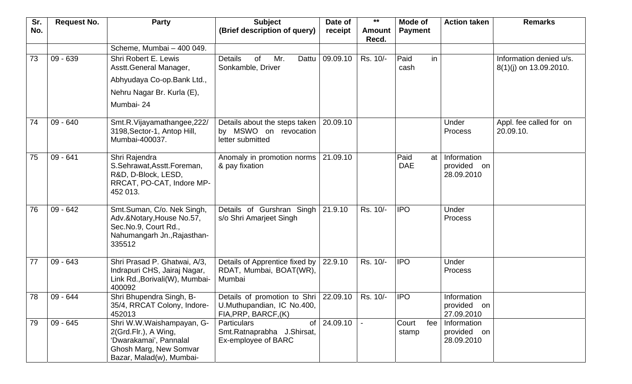| Sr. | <b>Request No.</b> | <b>Party</b>                                     | <b>Subject</b>                                                 | Date of  | $***$         | Mode of        | <b>Action taken</b> | <b>Remarks</b>          |
|-----|--------------------|--------------------------------------------------|----------------------------------------------------------------|----------|---------------|----------------|---------------------|-------------------------|
| No. |                    |                                                  | (Brief description of query)                                   | receipt  | <b>Amount</b> | <b>Payment</b> |                     |                         |
|     |                    |                                                  |                                                                |          | Recd.         |                |                     |                         |
|     |                    | Scheme, Mumbai - 400 049.                        |                                                                |          |               |                |                     |                         |
| 73  | $09 - 639$         | Shri Robert E. Lewis                             | <b>Details</b><br>Mr.<br>of<br>Dattu                           | 09.09.10 | Rs. 10/-      | Paid<br>in     |                     | Information denied u/s. |
|     |                    | Asstt.General Manager,                           | Sonkamble, Driver                                              |          |               | cash           |                     | 8(1)(j) on 13.09.2010.  |
|     |                    | Abhyudaya Co-op. Bank Ltd.,                      |                                                                |          |               |                |                     |                         |
|     |                    | Nehru Nagar Br. Kurla (E),                       |                                                                |          |               |                |                     |                         |
|     |                    | Mumbai-24                                        |                                                                |          |               |                |                     |                         |
| 74  | $09 - 640$         | Smt.R.Vijayamathangee,222/                       | Details about the steps taken                                  | 20.09.10 |               |                | Under               | Appl. fee called for on |
|     |                    | 3198, Sector-1, Antop Hill,                      | by MSWO on revocation                                          |          |               |                | <b>Process</b>      | 20.09.10.               |
|     |                    | Mumbai-400037.                                   | letter submitted                                               |          |               |                |                     |                         |
| 75  | $09 - 641$         | Shri Rajendra                                    | Anomaly in promotion norms                                     | 21.09.10 |               | Paid<br>at     | Information         |                         |
|     |                    | S.Sehrawat, Asstt. Foreman,                      | & pay fixation                                                 |          |               | <b>DAE</b>     | provided on         |                         |
|     |                    | R&D, D-Block, LESD,                              |                                                                |          |               |                | 28.09.2010          |                         |
|     |                    | RRCAT, PO-CAT, Indore MP-                        |                                                                |          |               |                |                     |                         |
|     |                    | 452 013.                                         |                                                                |          |               |                |                     |                         |
| 76  | $09 - 642$         | Smt.Suman, C/o. Nek Singh,                       | Details of Gurshran Singh                                      | 21.9.10  | Rs. 10/-      | <b>IPO</b>     | Under               |                         |
|     |                    | Adv.&Notary, House No.57,                        | s/o Shri Amarjeet Singh                                        |          |               |                | <b>Process</b>      |                         |
|     |                    | Sec.No.9, Court Rd.,                             |                                                                |          |               |                |                     |                         |
|     |                    | Nahumangarh Jn., Rajasthan-<br>335512            |                                                                |          |               |                |                     |                         |
|     |                    |                                                  |                                                                |          |               |                |                     |                         |
| 77  | $09 - 643$         | Shri Prasad P. Ghatwai, A/3,                     | Details of Apprentice fixed by                                 | 22.9.10  | Rs. 10/-      | <b>IPO</b>     | Under               |                         |
|     |                    | Indrapuri CHS, Jairaj Nagar,                     | RDAT, Mumbai, BOAT(WR),                                        |          |               |                | <b>Process</b>      |                         |
|     |                    | Link Rd., Borivali(W), Mumbai-<br>400092         | Mumbai                                                         |          |               |                |                     |                         |
| 78  | 09 - 644           | Shri Bhupendra Singh, B-                         | Details of promotion to Shri $\vert$ 22.09.10 $\vert$ Rs. 10/- |          |               | <b>IPO</b>     | Information         |                         |
|     |                    | 35/4, RRCAT Colony, Indore-                      | U.Muthupandian, IC No.400,                                     |          |               |                | provided on         |                         |
|     |                    | 452013                                           | FIA, PRP, BARCF, (K)                                           |          |               |                | 27.09.2010          |                         |
| 79  | $09 - 645$         | Shri W.W.Waishampayan, G-                        | of I<br>Particulars                                            | 24.09.10 |               | Court<br>fee   | Information         |                         |
|     |                    | 2(Grd.Flr.), A Wing,                             | Smt. Ratnaprabha J. Shirsat,                                   |          |               | stamp          | provided on         |                         |
|     |                    | 'Dwarakamai', Pannalal<br>Ghosh Marg, New Somvar | Ex-employee of BARC                                            |          |               |                | 28.09.2010          |                         |
|     |                    | Bazar, Malad(w), Mumbai-                         |                                                                |          |               |                |                     |                         |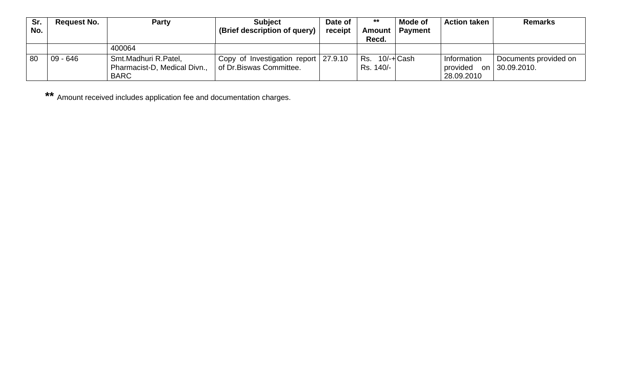| Sr. | <b>Request No.</b> | <b>Party</b>                 | <b>Subject</b>                       | Date of | $***$              | Mode of        | <b>Action taken</b> | <b>Remarks</b>        |
|-----|--------------------|------------------------------|--------------------------------------|---------|--------------------|----------------|---------------------|-----------------------|
| No. |                    |                              | (Brief description of query)         | receipt | Amount             | <b>Payment</b> |                     |                       |
|     |                    |                              |                                      |         | Recd.              |                |                     |                       |
|     |                    | 400064                       |                                      |         |                    |                |                     |                       |
| 80  | $09 - 646$         | Smt.Madhuri R.Patel,         | Copy of Investigation report 27.9.10 |         | l Rs.   10/-+lCash |                | Information         | Documents provided on |
|     |                    | Pharmacist-D, Medical Divn., | of Dr. Biswas Committee.             |         | Rs. 140/-          |                | provided            | on 30.09.2010.        |
|     |                    | <b>BARC</b>                  |                                      |         |                    |                | 28.09.2010          |                       |

**\*\*** Amount received includes application fee and documentation charges.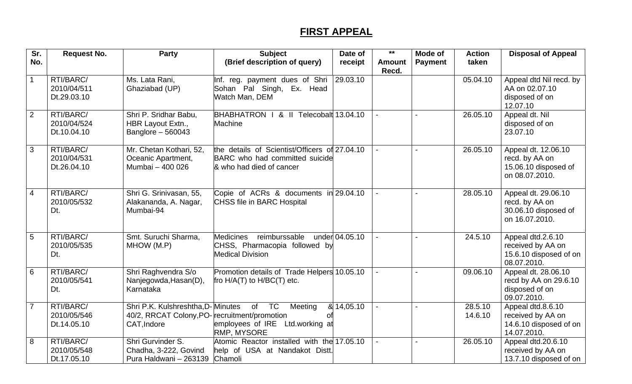## **FIRST APPEAL**

| Sr.            | <b>Request No.</b>                      | <b>Party</b>                                                                                      | <b>Subject</b>                                                                                              | Date of        | $***$                  | <b>Mode of</b> | <b>Action</b>      | <b>Disposal of Appeal</b>                                                       |
|----------------|-----------------------------------------|---------------------------------------------------------------------------------------------------|-------------------------------------------------------------------------------------------------------------|----------------|------------------------|----------------|--------------------|---------------------------------------------------------------------------------|
| No.            |                                         |                                                                                                   | (Brief description of query)                                                                                | receipt        | <b>Amount</b><br>Recd. | <b>Payment</b> | taken              |                                                                                 |
| $\mathbf{1}$   | RTI/BARC/<br>2010/04/511<br>Dt.29.03.10 | Ms. Lata Rani,<br>Ghaziabad (UP)                                                                  | Inf. reg. payment dues of Shri  <br>Sohan Pal Singh, Ex. Head<br>Watch Man, DEM                             | 29.03.10       |                        |                | 05.04.10           | Appeal dtd Nil recd. by<br>AA on 02.07.10<br>disposed of on<br>12.07.10         |
| $\overline{2}$ | RTI/BARC/<br>2010/04/524<br>Dt.10.04.10 | Shri P. Sridhar Babu,<br>HBR Layout Extn.,<br>Banglore $-560043$                                  | BHABHATRON   & II Telecobalt 13.04.10<br>Machine                                                            |                |                        |                | 26.05.10           | Appeal dt. Nil<br>disposed of on<br>23.07.10                                    |
| 3              | RTI/BARC/<br>2010/04/531<br>Dt.26.04.10 | Mr. Chetan Kothari, 52,<br>Oceanic Apartment,<br>Mumbai - 400 026                                 | the details of Scientist/Officers of 27.04.10<br>BARC who had committed suicide<br>& who had died of cancer |                |                        |                | 26.05.10           | Appeal dt. 12.06.10<br>recd. by AA on<br>15.06.10 disposed of<br>on 08.07.2010. |
| 4              | RTI/BARC/<br>2010/05/532<br>Dt.         | Shri G. Srinivasan, 55,<br>Alakananda, A. Nagar,<br>Mumbai-94                                     | Copie of ACRs & documents in 29.04.10<br>CHSS file in BARC Hospital                                         |                |                        |                | 28.05.10           | Appeal dt. 29.06.10<br>recd. by AA on<br>30.06.10 disposed of<br>on 16.07.2010. |
| 5              | RTI/BARC/<br>2010/05/535<br>Dt.         | Smt. Suruchi Sharma,<br>MHOW (M.P)                                                                | reimburssable<br>Medicines<br>CHSS, Pharmacopia followed by<br><b>Medical Division</b>                      | under 04.05.10 |                        |                | 24.5.10            | Appeal dtd.2.6.10<br>received by AA on<br>15.6.10 disposed of on<br>08.07.2010. |
| 6              | RTI/BARC/<br>2010/05/541<br>Dt.         | Shri Raghvendra S/o<br>Nanjegowda, Hasan(D),<br>Karnataka                                         | Promotion details of Trade Helpers 10.05.10<br>fro H/A(T) to H/BC(T) etc.                                   |                |                        |                | 09.06.10           | Appeal dt. 28.06.10<br>recd by AA on 29.6.10<br>disposed of on<br>09.07.2010.   |
| $\overline{7}$ | RTI/BARC/<br>2010/05/546<br>Dt.14.05.10 | Shri P.K. Kulshreshtha, D-Minutes<br>40/2, RRCAT Colony, PO- recruitment/promotion<br>CAT, Indore | of TC<br>Meeting<br>Οt<br>employees of IRE Ltd.working at<br>RMP, MYSORE                                    | $\&$ 14,05.10  |                        |                | 28.5.10<br>14.6.10 | Appeal dtd.8.6.10<br>received by AA on<br>14.6.10 disposed of on<br>14.07.2010. |
| 8              | RTI/BARC/<br>2010/05/548<br>Dt.17.05.10 | Shri Gurvinder S.<br>Chadha, 3-222, Govind<br>Pura Haldwani - 263139                              | Atomic Reactor installed with the 17.05.10<br>help of USA at Nandakot Distt.<br>Chamoli                     |                |                        |                | 26.05.10           | Appeal dtd.20.6.10<br>received by AA on<br>13.7.10 disposed of on               |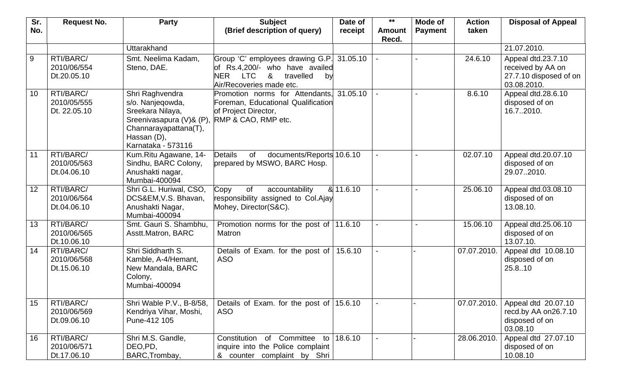| Sr.            | <b>Request No.</b>         | Party                                        | <b>Subject</b>                                                                     | Date of            | $***$         | Mode of        | <b>Action</b> | <b>Disposal of Appeal</b>                   |
|----------------|----------------------------|----------------------------------------------|------------------------------------------------------------------------------------|--------------------|---------------|----------------|---------------|---------------------------------------------|
| No.            |                            |                                              | (Brief description of query)                                                       | receipt            | <b>Amount</b> | <b>Payment</b> | taken         |                                             |
|                |                            | Uttarakhand                                  |                                                                                    |                    | Recd.         |                |               | 21.07.2010.                                 |
|                |                            |                                              |                                                                                    |                    |               |                |               |                                             |
| $\overline{9}$ | RTI/BARC/                  | Smt. Neelima Kadam,                          | Group 'C' employees drawing G.P.                                                   | 31.05.10           |               |                | 24.6.10       | Appeal dtd.23.7.10                          |
|                | 2010/06/554<br>Dt.20.05.10 | Steno, DAE.                                  | of Rs.4,200/- who have availed<br><b>NER</b><br><b>LTC</b><br>&<br>travelled<br>by |                    |               |                |               | received by AA on<br>27.7.10 disposed of on |
|                |                            |                                              | Air/Recoveries made etc.                                                           |                    |               |                |               | 03.08.2010.                                 |
| 10             | RTI/BARC/                  | Shri Raghvendra                              | Promotion norms for Attendants.                                                    | 31.05.10           |               |                | 8.6.10        | Appeal dtd.28.6.10                          |
|                | 2010/05/555                | s/o. Nanjeqowda,                             | Foreman, Educational Qualification                                                 |                    |               |                |               | disposed of on                              |
|                | Dt. 22.05.10               | Sreekara Nilaya,                             | of Project Director,                                                               |                    |               |                |               | 16.72010.                                   |
|                |                            | Sreenivasapura (V)& (P), RMP & CAO, RMP etc. |                                                                                    |                    |               |                |               |                                             |
|                |                            | Channarayapattana(T),                        |                                                                                    |                    |               |                |               |                                             |
|                |                            | Hassan (D),                                  |                                                                                    |                    |               |                |               |                                             |
|                |                            | Karnataka - 573116                           |                                                                                    |                    |               |                |               |                                             |
| 11             | RTI/BARC/                  | Kum.Ritu Agawane, 14-                        | <b>Details</b><br>of<br>documents/Reports 10.6.10<br>prepared by MSWO, BARC Hosp.  |                    |               |                | 02.07.10      | Appeal dtd.20.07.10<br>disposed of on       |
|                | 2010/05/563<br>Dt.04.06.10 | Sindhu, BARC Colony,<br>Anushakti nagar,     |                                                                                    |                    |               |                |               | 29.072010.                                  |
|                |                            | Mumbai-400094                                |                                                                                    |                    |               |                |               |                                             |
| 12             | RTI/BARC/                  | Shri G.L. Huriwal, CSO,                      | of<br>accountability<br>Copy                                                       | $\sqrt{8}$ 11.6.10 |               |                | 25.06.10      | Appeal dtd.03.08.10                         |
|                | 2010/06/564                | DCS&EM, V.S. Bhavan,                         | responsibility assigned to Col.Ajay                                                |                    |               |                |               | disposed of on                              |
|                | Dt.04.06.10                | Anushakti Nagar,                             | Mohey, Director(S&C).                                                              |                    |               |                |               | 13.08.10.                                   |
|                |                            | Mumbai-400094                                |                                                                                    |                    |               |                |               |                                             |
| 13             | RTI/BARC/                  | Smt. Gauri S. Shambhu,                       | Promotion norms for the post of $ 11.6.10\rangle$                                  |                    |               |                | 15.06.10      | Appeal dtd.25.06.10                         |
|                | 2010/06/565                | Asstt.Matron, BARC                           | Matron                                                                             |                    |               |                |               | disposed of on                              |
|                | Dt.10.06.10                | Shri Siddharth S.                            |                                                                                    |                    |               |                |               | 13.07.10.                                   |
| 14             | RTI/BARC/<br>2010/06/568   | Kamble, A-4/Hemant,                          | Details of Exam. for the post of<br><b>ASO</b>                                     | 15.6.10            |               |                | 07.07.2010.   | Appeal dtd 10.08.10<br>disposed of on       |
|                | Dt.15.06.10                | New Mandala, BARC                            |                                                                                    |                    |               |                |               | 25.8.10                                     |
|                |                            | Colony,                                      |                                                                                    |                    |               |                |               |                                             |
|                |                            | Mumbai-400094                                |                                                                                    |                    |               |                |               |                                             |
|                |                            |                                              |                                                                                    |                    |               |                |               |                                             |
| 15             | RTI/BARC/                  | Shri Wable P.V., B-8/58,                     | Details of Exam. for the post of $ 15.6.10$                                        |                    |               |                | 07.07.2010.   | Appeal dtd 20.07.10                         |
|                | 2010/06/569                | Kendriya Vihar, Moshi,                       | <b>ASO</b>                                                                         |                    |               |                |               | recd.by AA on26.7.10                        |
|                | Dt.09.06.10                | Pune-412 105                                 |                                                                                    |                    |               |                |               | disposed of on                              |
| 16             | RTI/BARC/                  | Shri M.S. Gandle,                            | Committee<br>Constitution                                                          | 18.6.10            |               |                | 28.06.2010.   | 03.08.10<br>Appeal dtd 27.07.10             |
|                | 2010/06/571                | DEO, PD,                                     | of<br>to l<br>inquire into the Police complaint                                    |                    |               |                |               | disposed of on                              |
|                | Dt.17.06.10                | BARC, Trombay,                               | & counter complaint by Shri                                                        |                    |               |                |               | 10.08.10                                    |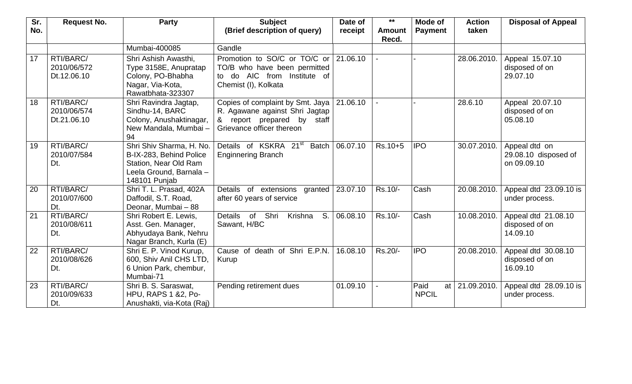| Sr. | <b>Request No.</b>                      | <b>Party</b>                                                                                                             | <b>Subject</b>                                                                                                                | Date of        | $***$                  | Mode of                    | <b>Action</b> | <b>Disposal of Appeal</b>                            |
|-----|-----------------------------------------|--------------------------------------------------------------------------------------------------------------------------|-------------------------------------------------------------------------------------------------------------------------------|----------------|------------------------|----------------------------|---------------|------------------------------------------------------|
| No. |                                         |                                                                                                                          | (Brief description of query)                                                                                                  | receipt        | <b>Amount</b><br>Recd. | <b>Payment</b>             | taken         |                                                      |
|     |                                         | Mumbai-400085                                                                                                            | Gandle                                                                                                                        |                |                        |                            |               |                                                      |
| 17  | RTI/BARC/<br>2010/06/572<br>Dt.12.06.10 | Shri Ashish Awasthi,<br>Type 3158E, Anupratap<br>Colony, PO-Bhabha<br>Nagar, Via-Kota,<br>Rawatbhata-323307              | Promotion to SO/C or TO/C or<br>TO/B who have been permitted<br>to do AIC from Institute of<br>Chemist (I), Kolkata           | 21.06.10       |                        |                            | 28.06.2010.   | Appeal 15.07.10<br>disposed of on<br>29.07.10        |
| 18  | RTI/BARC/<br>2010/06/574<br>Dt.21.06.10 | Shri Ravindra Jagtap,<br>Sindhu-14, BARC<br>Colony, Anushaktinagar,<br>New Mandala, Mumbai-<br>94                        | Copies of complaint by Smt. Jaya<br>R. Agawane against Shri Jagtap<br>& report prepared by staff<br>Grievance officer thereon | 21.06.10       |                        |                            | 28.6.10       | Appeal 20.07.10<br>disposed of on<br>05.08.10        |
| 19  | RTI/BARC/<br>2010/07/584<br>Dt.         | Shri Shiv Sharma, H. No.<br>B-IX-283, Behind Police<br>Station, Near Old Ram<br>Leela Ground, Barnala -<br>148101 Punjab | Details of KSKRA 21 <sup>st</sup><br><b>Enginnering Branch</b>                                                                | Batch 06.07.10 | $Rs.10+5$              | <b>IPO</b>                 | 30.07.2010.   | Appeal dtd on<br>29.08.10 disposed of<br>on 09.09.10 |
| 20  | RTI/BARC/<br>2010/07/600<br>Dt.         | Shri T. L. Prasad, 402A<br>Daffodil, S.T. Road,<br>Deonar, Mumbai - 88                                                   | Details of extensions granted 23.07.10<br>after 60 years of service                                                           |                | Rs.10/-                | Cash                       | 20.08.2010.   | Appeal dtd 23.09.10 is<br>under process.             |
| 21  | RTI/BARC/<br>2010/08/611<br>Dt.         | Shri Robert E. Lewis,<br>Asst. Gen. Manager,<br>Abhyudaya Bank, Nehru<br>Nagar Branch, Kurla (E)                         | of Shri<br>Details<br>Krishna<br>S.<br>Sawant, H/BC                                                                           | 06.08.10       | Rs.10/-                | Cash                       | 10.08.2010.   | Appeal dtd 21.08.10<br>disposed of on<br>14.09.10    |
| 22  | RTI/BARC/<br>2010/08/626<br>Dt.         | Shri E. P. Vinod Kurup,<br>600, Shiv Anil CHS LTD,<br>6 Union Park, chembur,<br>Mumbai-71                                | death of Shri E.P.N.<br>Cause of<br>Kurup                                                                                     | 16.08.10       | Rs.20/-                | <b>IPO</b>                 | 20.08.2010.   | Appeal dtd 30.08.10<br>disposed of on<br>16.09.10    |
| 23  | RTI/BARC/<br>2010/09/633<br>Dt.         | Shri B. S. Saraswat,<br><b>HPU, RAPS 1 &amp;2, Po-</b><br>Anushakti, via-Kota (Raj)                                      | Pending retirement dues                                                                                                       | 01.09.10       |                        | Paid<br>at<br><b>NPCIL</b> | 21.09.2010.   | Appeal dtd 28.09.10 is<br>under process.             |